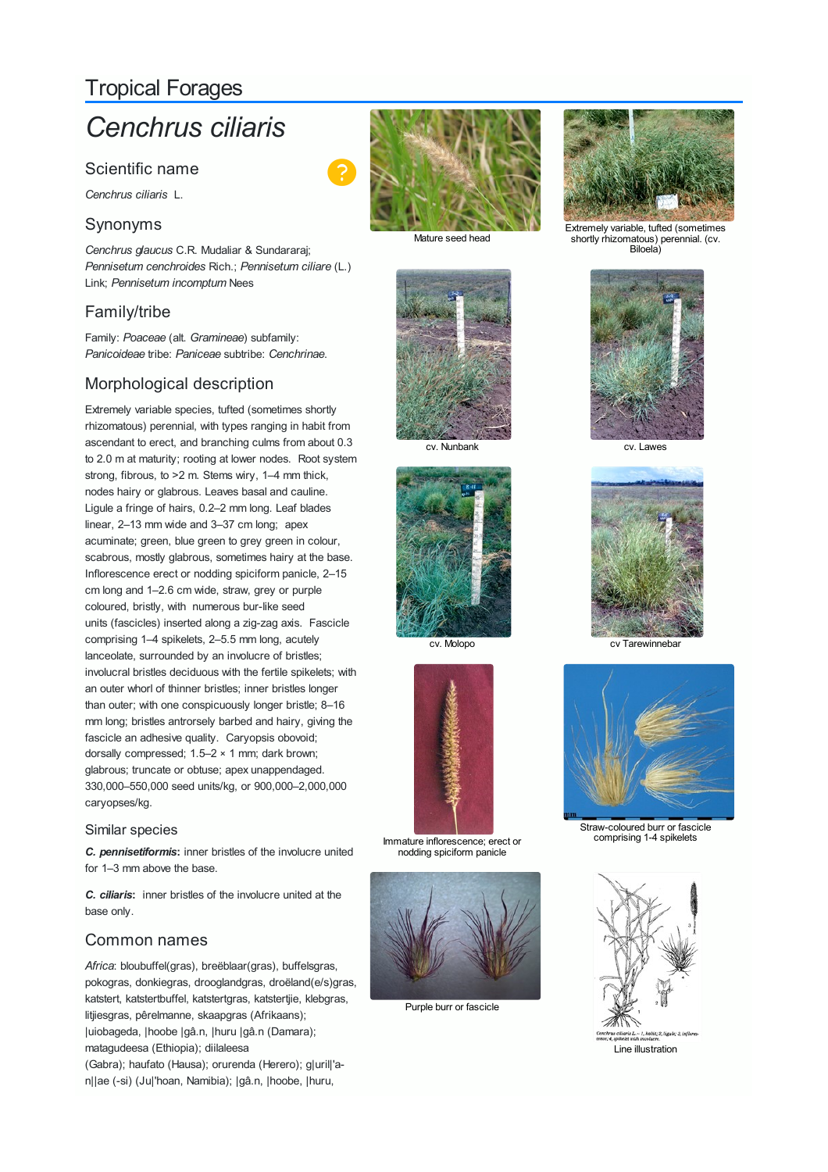# Tropical Forages

# *Cenchrus ciliaris*

# Scientific name

*Cenchrus ciliaris* L.

# Synonyms

*Cenchrus glaucus* C.R. Mudaliar & Sundararaj; *Pennisetum cenchroides* Rich.; *Pennisetum ciliare* (L.) Link; *Pennisetum incomptum* Nees

# Family/tribe

Family: *Poaceae* (alt. *Gramineae*) subfamily: *Panicoideae* tribe: *Paniceae* subtribe: *Cenchrinae*.

# Morphological description

Extremely variable species, tufted (sometimes shortly rhizomatous) perennial, with types ranging in habit from ascendant to erect, and branching culms from about 0.3 to 2.0 m at maturity; rooting at lower nodes. Root system strong, fibrous, to >2 m. Stems wiry, 1–4 mm thick, nodes hairy or glabrous. Leaves basal and cauline. Ligule a fringe of hairs, 0.2–2 mm long. Leaf blades linear, 2–13 mm wide and 3–37 cm long; apex acuminate; green, blue green to grey green in colour, scabrous, mostly glabrous, sometimes hairy at the base. Inflorescence erect or nodding spiciform panicle, 2–15 cm long and 1–2.6 cm wide, straw, grey or purple coloured, bristly, with numerous bur-like seed units (fascicles) inserted along a zig-zag axis. Fascicle comprising 1–4 spikelets, 2–5.5 mm long, acutely lanceolate, surrounded by an involucre of bristles; involucral bristles deciduous with the fertile spikelets; with an outer whorl of thinner bristles; inner bristles longer than outer; with one conspicuously longer bristle; 8–16 mm long; bristles antrorsely barbed and hairy, giving the fascicle an adhesive quality. Caryopsis obovoid; dorsally compressed; 1.5–2 × 1 mm; dark brown; glabrous; truncate or obtuse; apex unappendaged. 330,000–550,000 seed units/kg, or 900,000–2,000,000 caryopses/kg.

#### Similar species

*C. pennisetiformis***:** inner bristles of the involucre united for 1–3 mm above the base.

*C. ciliaris***:** inner bristles of the involucre united at the base only.

## Common names

*Africa*: bloubuffel(gras), breëblaar(gras), buffelsgras, pokogras, donkiegras, drooglandgras, droëland(e/s)gras, katstert, katstertbuffel, katstertgras, katstertjie, klebgras, litjiesgras, pêrelmanne, skaapgras (Afrikaans); |uiobageda, |hoobe |gâ.n, |huru |gâ.n (Damara); matagudeesa (Ethiopia); diilaleesa (Gabra); haufato (Hausa); orurenda (Herero); g|uril|'an||ae (-si) (Ju|'hoan, Namibia); |gâ.n, |hoobe, |huru,



Mature seed head



cv. Nunbank cv. Lawes





Immature inflorescence; erect or nodding spiciform panicle



Purple burr or fascicle



Extremely variable, tufted (sometimes shortly rhizomatous) perennial. (cv. Biloela)





cv. Molopo cv Tarewinnebar



Straw-coloured burr or fascicle comprising 1-4 spikelets

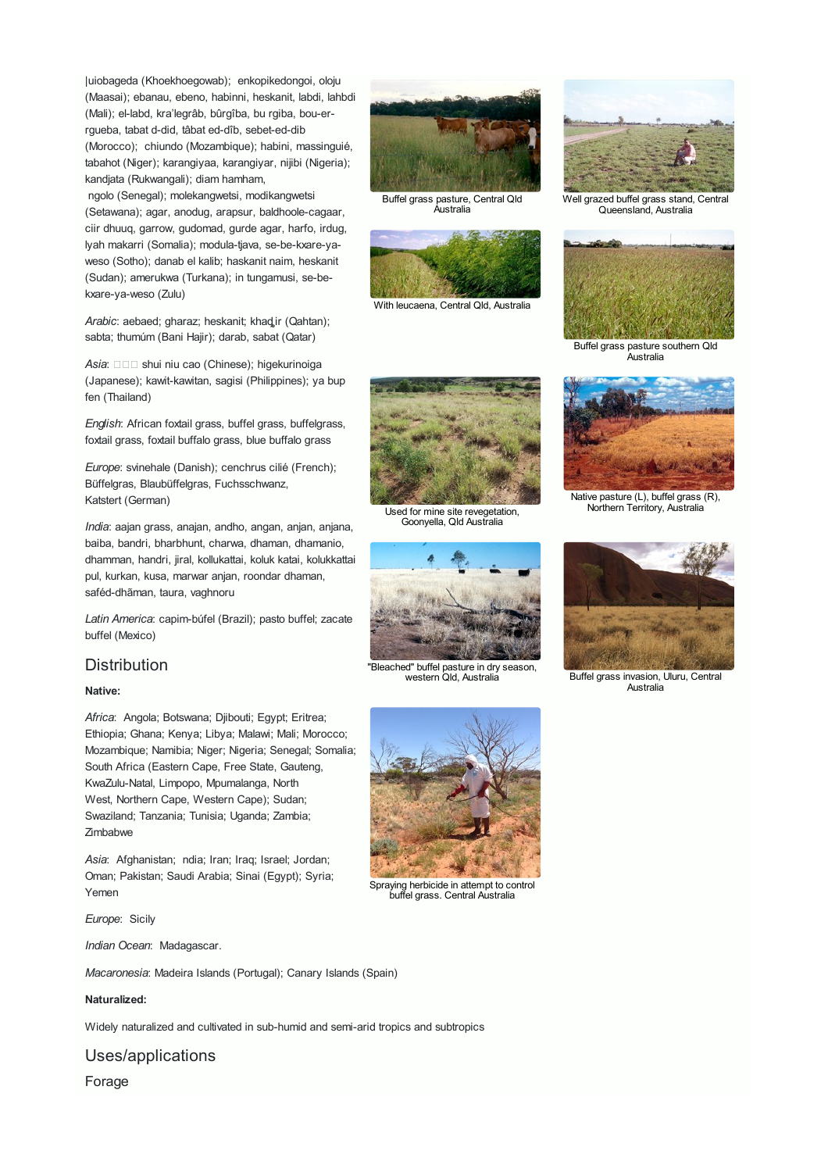|uiobageda (Khoekhoegowab); enkopikedongoi, oloju (Maasai); ebanau, ebeno, habinni, heskanit, labdi, lahbdi (Mali); el-labd, kra'legrâb, bûrgîba, bu rgiba, bou-errgueba, tabat d-did, tâbat ed-dîb, sebet-ed-dib (Morocco); chiundo (Mozambique); habini, massinguié, tabahot (Niger); karangiyaa, karangiyar, nijibi (Nigeria); kandjata (Rukwangali); diam hamham,

ngolo (Senegal); molekangwetsi, modikangwetsi (Setawana); agar, anodug, arapsur, baldhoole-cagaar, ciir dhuuq, garrow, gudomad, gurde agar, harfo, irdug, lyah makarri (Somalia); modula-tjava, se-be-kxare-yaweso (Sotho); danab el kalib; haskanit naim, heskanit (Sudan); amerukwa (Turkana); in tungamusi, se-bekxare-ya-weso (Zulu)

*Arabic*: aebaed; gharaz; heskanit; khaqir (Qahtan); sabta; thumúm (Bani Hajir); darab, sabat (Qatar)

*Asia*: □□□ shui niu cao (Chinese); higekurinoiga (Japanese); kawit-kawitan, sagisi (Philippines); ya bup fen (Thailand)

*English*: African foxtail grass, buffel grass, buffelgrass, foxtail grass, foxtail buffalo grass, blue buffalo grass

*Europe*: svinehale (Danish); cenchrus cilié (French); Büffelgras, Blaubüffelgras, Fuchsschwanz, Katstert (German)

*India*: aajan grass, anajan, andho, angan, anjan, anjana, baiba, bandri, bharbhunt, charwa, dhaman, dhamanio, dhamman, handri, jiral, kollukattai, koluk katai, kolukkattai pul, kurkan, kusa, marwar anjan, roondar dhaman, saféd-dhãman, taura, vaghnoru

*Latin America*: capim-búfel (Brazil); pasto buffel; zacate buffel (Mexico)

### **Distribution**

#### **Native:**

*Africa*: Angola; Botswana; Djibouti; Egypt; Eritrea; Ethiopia; Ghana; Kenya; Libya; Malawi; Mali; Morocco; Mozambique; Namibia; Niger; Nigeria; Senegal; Somalia; South Africa (Eastern Cape, Free State, Gauteng, KwaZulu-Natal, Limpopo, Mpumalanga, North West, Northern Cape, Western Cape); Sudan; Swaziland; Tanzania; Tunisia; Uganda; Zambia; Zimbabwe

*Asia*: Afghanistan; ndia; Iran; Iraq; Israel; Jordan; Oman; Pakistan; Saudi Arabia; Sinai (Egypt); Syria; Yemen

*Europe*: Sicily

*Indian Ocean*: Madagascar.

*Macaronesia*: Madeira Islands (Portugal); Canary Islands (Spain)

#### **Naturalized:**

Widely naturalized and cultivated in sub-humid and semi-arid tropics and subtropics

Uses/applications

Forage



Buffel grass pasture, Central Qld



With leucaena, Central Qld, Australia

Used for mine site revegetation, Goonyella, Qld Australia



Well grazed buffel grass stand, Central Queensland, Australia



Buffel grass pasture southern Qld Australia



Native pasture (L), buffel grass (R), Northern Territory, Australia



**Australia** 



Spraying herbicide in attempt to control buffel grass. Central Australia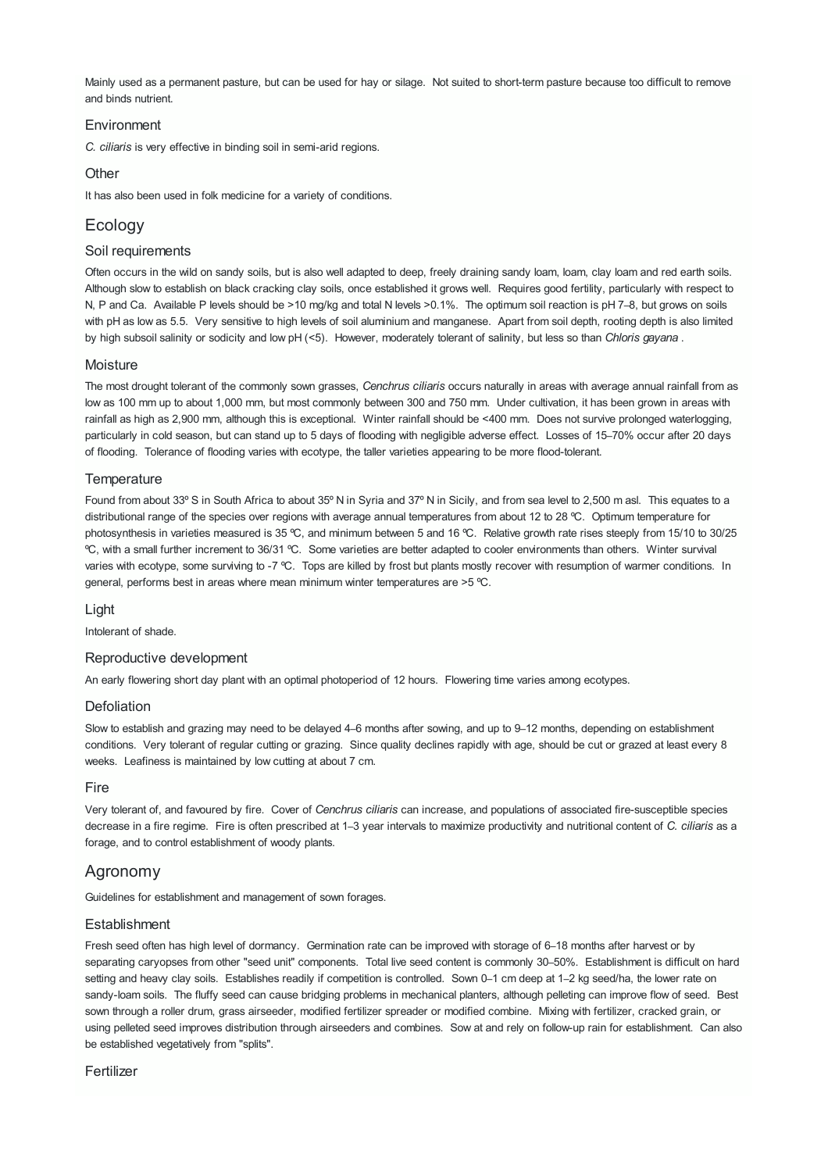Mainly used as a permanent pasture, but can be used for hay or silage. Not suited to short-term pasture because too difficult to remove and binds nutrient.

#### **Environment**

*C. ciliaris* is very effective in binding soil in semi-arid regions.

#### **Other**

It has also been used in folk medicine for a variety of conditions.

# **Ecology**

#### Soil requirements

Often occurs in the wild on sandy soils, but is also well adapted to deep, freely draining sandy loam, loam, clay loam and red earth soils. Although slow to establish on black cracking clay soils, once established it grows well. Requires good fertility, particularly with respect to N, P and Ca. Available P levels should be >10 mg/kg and total N levels >0.1%. The optimum soil reaction is pH 7–8, but grows on soils with pH as low as 5.5. Very sensitive to high levels of soil aluminium and manganese. Apart from soil depth, rooting depth is also limited by high subsoil salinity or sodicity and low pH (<5). However, moderately tolerant of salinity, but less so than *Chloris gayana* .

#### **Moisture**

The most drought tolerant of the commonly sown grasses, *Cenchrus ciliaris* occurs naturally in areas with average annual rainfall from as low as 100 mm up to about 1,000 mm, but most commonly between 300 and 750 mm. Under cultivation, it has been grown in areas with rainfall as high as 2,900 mm, although this is exceptional. Winter rainfall should be <400 mm. Does not survive prolonged waterlogging, particularly in cold season, but can stand up to 5 days of flooding with negligible adverse effect. Losses of 15–70% occur after 20 days of flooding. Tolerance of flooding varies with ecotype, the taller varieties appearing to be more flood-tolerant.

#### **Temperature**

Found from about 33º S in South Africa to about 35º N in Syria and 37º N in Sicily, and from sea level to 2,500 m asl. This equates to a distributional range of the species over regions with average annual temperatures from about 12 to 28 ºC. Optimum temperature for photosynthesis in varieties measured is 35 °C, and minimum between 5 and 16 °C. Relative growth rate rises steeply from 15/10 to 30/25 ºC, with a small further increment to 36/31 ºC. Some varieties are better adapted to cooler environments than others. Winter survival varies with ecotype, some surviving to -7 °C. Tops are killed by frost but plants mostly recover with resumption of warmer conditions. In general, performs best in areas where mean minimum winter temperatures are >5 ºC.

#### Light

Intolerant of shade.

#### Reproductive development

An early flowering short day plant with an optimal photoperiod of 12 hours. Flowering time varies among ecotypes.

#### **Defoliation**

Slow to establish and grazing may need to be delayed 4–6 months after sowing, and up to 9–12 months, depending on establishment conditions. Very tolerant of regular cutting or grazing. Since quality declines rapidly with age, should be cut or grazed at least every 8 weeks. Leafiness is maintained by low cutting at about 7 cm.

#### Fire

Very tolerant of, and favoured by fire. Cover of *Cenchrus ciliaris* can increase, and populations of associated fire-susceptible species decrease in a fire regime. Fire is often prescribed at 1‒3 year intervals to maximize productivity and nutritional content of *C. ciliaris* as a forage, and to control establishment of woody plants.

## Agronomy

Guidelines for establishment and management of sown forages.

#### **Establishment**

Fresh seed often has high level of dormancy. Germination rate can be improved with storage of 6–18 months after harvest or by separating caryopses from other "seed unit" components. Total live seed content is commonly 30–50%. Establishment is difficult on hard setting and heavy clay soils. Establishes readily if competition is controlled. Sown 0-1 cm deep at 1-2 kg seed/ha, the lower rate on sandy-loam soils. The fluffy seed can cause bridging problems in mechanical planters, although pelleting can improve flow of seed. Best sown through a roller drum, grass airseeder, modified fertilizer spreader or modified combine. Mixing with fertilizer, cracked grain, or using pelleted seed improves distribution through airseeders and combines. Sow at and rely on follow-up rain for establishment. Can also be established vegetatively from "splits".

#### Fertilizer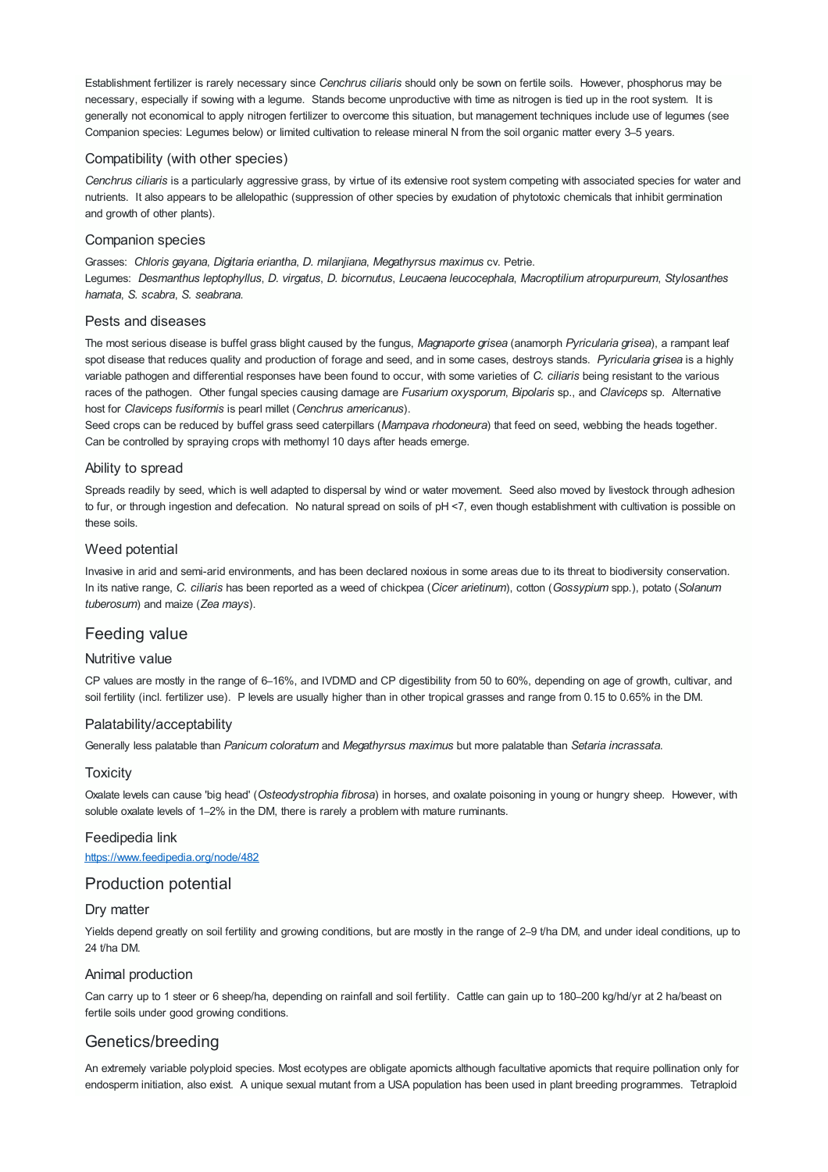Establishment fertilizer is rarely necessary since *Cenchrus ciliaris* should only be sown on fertile soils. However, phosphorus may be necessary, especially if sowing with a legume. Stands become unproductive with time as nitrogen is tied up in the root system. It is generally not economical to apply nitrogen fertilizer to overcome this situation, but management techniques include use of legumes (see Companion species: Legumes below) or limited cultivation to release mineral N from the soil organic matter every 3–5 years.

#### Compatibility (with other species)

*Cenchrus ciliaris* is a particularly aggressive grass, by virtue of its extensive root system competing with associated species for water and nutrients. It also appears to be allelopathic (suppression of other species by exudation of phytotoxic chemicals that inhibit germination and growth of other plants).

#### Companion species

Grasses: *Chloris gayana*, *Digitaria eriantha*, *D. milanjiana*, *Megathyrsus maximus* cv. Petrie. Legumes: *Desmanthus leptophyllus*, *D. virgatus*, *D. bicornutus*, *Leucaena leucocephala*, *Macroptilium atropurpureum*, *Stylosanthes hamata*, *S. scabra*, *S. seabrana*.

#### Pests and diseases

The most serious disease is buffel grass blight caused by the fungus, *Magnaporte grisea* (anamorph *Pyricularia grisea*), a rampant leaf spot disease that reduces quality and production of forage and seed, and in some cases, destroys stands. *Pyricularia grisea* is a highly variable pathogen and differential responses have been found to occur, with some varieties of *C. ciliaris* being resistant to the various races of the pathogen. Other fungal species causing damage are *Fusarium oxysporum*, *Bipolaris* sp., and *Claviceps* sp. Alternative host for *Claviceps fusiformis* is pearl millet (*Cenchrus americanus*).

Seed crops can be reduced by buffel grass seed caterpillars (*Mampava rhodoneura*) that feed on seed, webbing the heads together. Can be controlled by spraying crops with methomyl 10 days after heads emerge.

#### Ability to spread

Spreads readily by seed, which is well adapted to dispersal by wind or water movement. Seed also moved by livestock through adhesion to fur, or through ingestion and defecation. No natural spread on soils of pH <7, even though establishment with cultivation is possible on these soils.

#### Weed potential

Invasive in arid and semi-arid environments, and has been declared noxious in some areas due to its threat to biodiversity conservation. In its native range, *C. ciliaris* has been reported as a weed of chickpea (*Cicer arietinum*), cotton (*Gossypium* spp.), potato (*Solanum tuberosum*) and maize (*Zea mays*).

#### Feeding value

#### Nutritive value

CP values are mostly in the range of 6–16%, and IVDMD and CP digestibility from 50 to 60%, depending on age of growth, cultivar, and soil fertility (incl. fertilizer use). P levels are usually higher than in other tropical grasses and range from 0.15 to 0.65% in the DM.

#### Palatability/acceptability

Generally less palatable than *Panicum coloratum* and *Megathyrsus maximus* but more palatable than *Setaria incrassata*.

#### **Toxicity**

Oxalate levels can cause 'big head' (*Osteodystrophia fibrosa*) in horses, and oxalate poisoning in young or hungry sheep. However, with soluble oxalate levels of 1–2% in the DM, there is rarely a problem with mature ruminants.

#### Feedipedia link

<https://www.feedipedia.org/node/482>

## Production potential

#### Dry matter

Yields depend greatly on soil fertility and growing conditions, but are mostly in the range of 2–9 t/ha DM, and under ideal conditions, up to 24 t/ha DM.

#### Animal production

Can carry up to 1 steer or 6 sheep/ha, depending on rainfall and soil fertility. Cattle can gain up to 180-200 kg/hd/yr at 2 ha/beast on fertile soils under good growing conditions.

## Genetics/breeding

An extremely variable polyploid species. Most ecotypes are obligate apomicts although facultative apomicts that require pollination only for endosperm initiation, also exist. A unique sexual mutant from a USA population has been used in plant breeding programmes. Tetraploid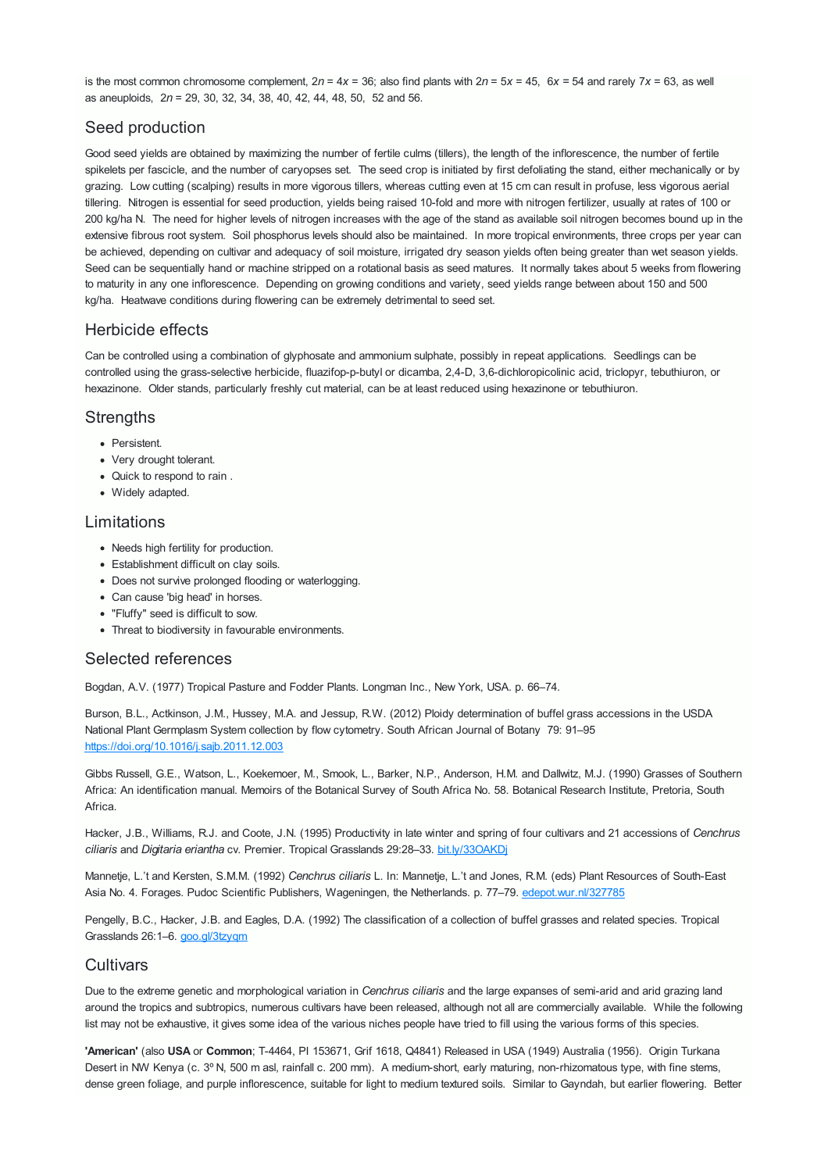is the most common chromosome complement,  $2n = 4x = 36$ ; also find plants with  $2n = 5x = 45$ ,  $6x = 54$  and rarely  $7x = 63$ , as well as aneuploids, 2*n* = 29, 30, 32, 34, 38, 40, 42, 44, 48, 50, 52 and 56.

# Seed production

Good seed yields are obtained by maximizing the number of fertile culms (tillers), the length of the inflorescence, the number of fertile spikelets per fascicle, and the number of caryopses set. The seed crop is initiated by first defoliating the stand, either mechanically or by grazing. Low cutting (scalping) results in more vigorous tillers, whereas cutting even at 15 cm can result in profuse, less vigorous aerial tillering. Nitrogen is essential for seed production, yields being raised 10-fold and more with nitrogen fertilizer, usually at rates of 100 or 200 kg/ha N. The need for higher levels of nitrogen increases with the age of the stand as available soil nitrogen becomes bound up in the extensive fibrous root system. Soil phosphorus levels should also be maintained. In more tropical environments, three crops per year can be achieved, depending on cultivar and adequacy of soil moisture, irrigated dry season yields often being greater than wet season yields. Seed can be sequentially hand or machine stripped on a rotational basis as seed matures. It normally takes about 5 weeks from flowering to maturity in any one inflorescence. Depending on growing conditions and variety, seed yields range between about 150 and 500 kg/ha. Heatwave conditions during flowering can be extremely detrimental to seed set.

# Herbicide effects

Can be controlled using a combination of glyphosate and ammonium sulphate, possibly in repeat applications. Seedlings can be controlled using the grass-selective herbicide, fluazifop-p-butyl or dicamba, 2,4-D, 3,6-dichloropicolinic acid, triclopyr, tebuthiuron, or hexazinone. Older stands, particularly freshly cut material, can be at least reduced using hexazinone or tebuthiuron.

# **Strengths**

- Persistent.
- Very drought tolerant.
- Quick to respond to rain .
- Widely adapted.

# Limitations

- Needs high fertility for production.
- Establishment difficult on clay soils.
- Does not survive prolonged flooding or waterlogging.
- Can cause 'big head' in horses.
- "Fluffy" seed is difficult to sow.
- Threat to biodiversity in favourable environments.

## Selected references

Bogdan, A.V. (1977) Tropical Pasture and Fodder Plants. Longman Inc., New York, USA. p. 66–74.

Burson, B.L., Actkinson, J.M., Hussey, M.A. and Jessup, R.W. (2012) Ploidy determination of buffel grass accessions in the USDA National Plant Germplasm System collection by flow cytometry. South African Journal of Botany 79: 91–95 <https://doi.org/10.1016/j.sajb.2011.12.003>

Gibbs Russell, G.E., Watson, L., Koekemoer, M., Smook, L., Barker, N.P., Anderson, H.M. and Dallwitz, M.J. (1990) Grasses of Southern Africa: An identification manual. Memoirs of the Botanical Survey of South Africa No. 58. Botanical Research Institute, Pretoria, South **Africa** 

Hacker, J.B., Williams, R.J. and Coote, J.N. (1995) Productivity in late winter and spring of four cultivars and 21 accessions of *Cenchrus ciliaris* and *Digitaria eriantha* cv. Premier. Tropical Grasslands 29:28–33. [bit.ly/33OAKDj](https://bit.ly/33OAKDj)

Mannetje, L.'t and Kersten, S.M.M. (1992) *Cenchrus ciliaris* L. In: Mannetje, L.'t and Jones, R.M. (eds) Plant Resources of South-East Asia No. 4. Forages. Pudoc Scientific Publishers, Wageningen, the Netherlands. p. 77–79. [edepot.wur.nl/327785](http://edepot.wur.nl/327785)

Pengelly, B.C., Hacker, J.B. and Eagles, D.A. (1992) The classification of a collection of buffel grasses and related species. Tropical Grasslands 26:1–6. [goo.gl/3tzyqm](https://goo.gl/3tzyqm)

## **Cultivars**

Due to the extreme genetic and morphological variation in *Cenchrus ciliaris* and the large expanses of semi-arid and arid grazing land around the tropics and subtropics, numerous cultivars have been released, although not all are commercially available. While the following list may not be exhaustive, it gives some idea of the various niches people have tried to fill using the various forms of this species.

**'American'** (also **USA** or **Common**; T-4464, PI 153671, Grif 1618, Q4841) Released in USA (1949) Australia (1956). Origin Turkana Desert in NW Kenya (c. 3º N, 500 m asl, rainfall c. 200 mm). A medium-short, early maturing, non-rhizomatous type, with fine stems, dense green foliage, and purple inflorescence, suitable for light to medium textured soils. Similar to Gayndah, but earlier flowering. Better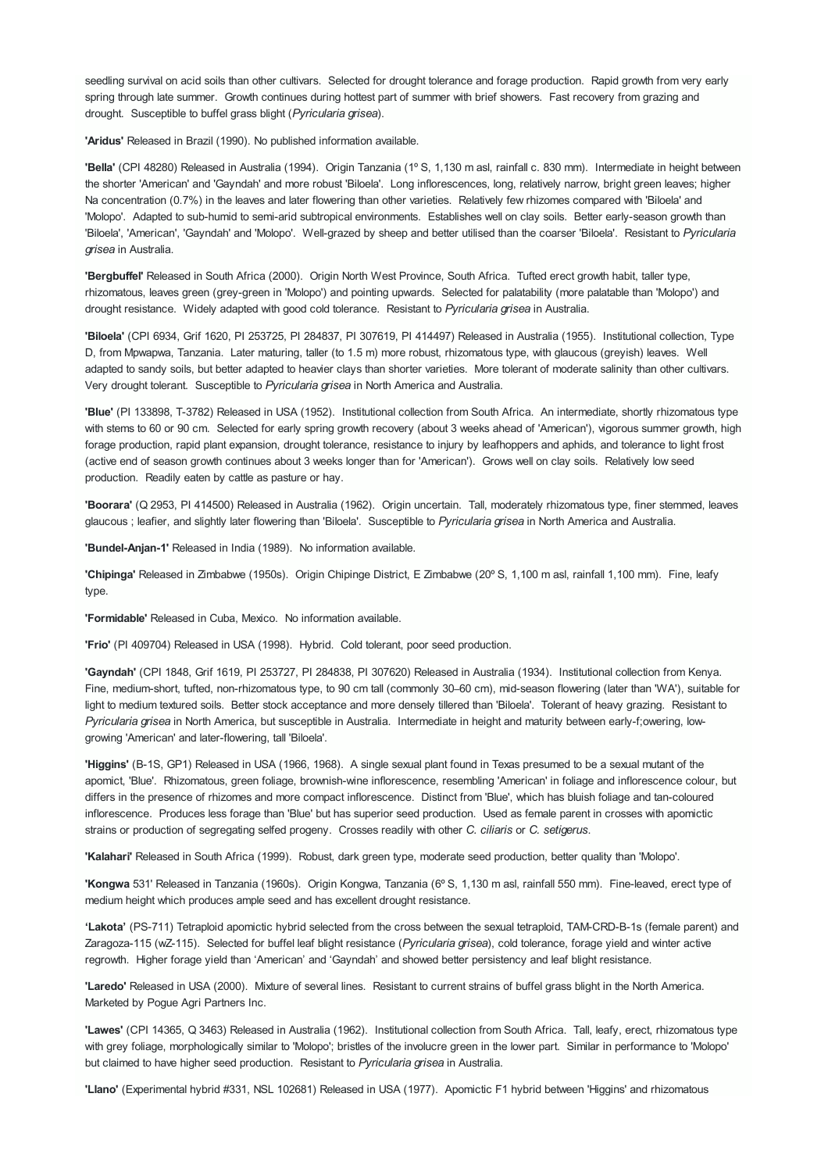seedling survival on acid soils than other cultivars. Selected for drought tolerance and forage production. Rapid growth from very early spring through late summer. Growth continues during hottest part of summer with brief showers. Fast recovery from grazing and drought. Susceptible to buffel grass blight (*Pyricularia grisea*).

**'Aridus'** Released in Brazil (1990). No published information available.

**'Bella'** (CPI 48280) Released in Australia (1994). Origin Tanzania (1º S, 1,130 m asl, rainfall c. 830 mm). Intermediate in height between the shorter 'American' and 'Gayndah' and more robust 'Biloela'. Long inflorescences, long, relatively narrow, bright green leaves; higher Na concentration (0.7%) in the leaves and later flowering than other varieties. Relatively few rhizomes compared with 'Biloela' and 'Molopo'. Adapted to sub-humid to semi-arid subtropical environments. Establishes well on clay soils. Better early-season growth than 'Biloela', 'American', 'Gayndah' and 'Molopo'. Well-grazed by sheep and better utilised than the coarser 'Biloela'. Resistant to *Pyricularia grisea* in Australia.

**'Bergbuffel'** Released in South Africa (2000). Origin North West Province, South Africa. Tufted erect growth habit, taller type, rhizomatous, leaves green (grey-green in 'Molopo') and pointing upwards. Selected for palatability (more palatable than 'Molopo') and drought resistance. Widely adapted with good cold tolerance. Resistant to *Pyricularia grisea* in Australia.

**'Biloela'** (CPI 6934, Grif 1620, PI 253725, PI 284837, PI 307619, PI 414497) Released in Australia (1955). Institutional collection, Type D, from Mpwapwa, Tanzania. Later maturing, taller (to 1.5 m) more robust, rhizomatous type, with glaucous (greyish) leaves. Well adapted to sandy soils, but better adapted to heavier clays than shorter varieties. More tolerant of moderate salinity than other cultivars. Very drought tolerant. Susceptible to *Pyricularia grisea* in North America and Australia.

**'Blue'** (PI 133898, T-3782) Released in USA (1952). Institutional collection from South Africa. An intermediate, shortly rhizomatous type with stems to 60 or 90 cm. Selected for early spring growth recovery (about 3 weeks ahead of 'American'), vigorous summer growth, high forage production, rapid plant expansion, drought tolerance, resistance to injury by leafhoppers and aphids, and tolerance to light frost (active end of season growth continues about 3 weeks longer than for 'American'). Grows well on clay soils. Relatively low seed production. Readily eaten by cattle as pasture or hay.

**'Boorara'** (Q 2953, PI 414500) Released in Australia (1962). Origin uncertain. Tall, moderately rhizomatous type, finer stemmed, leaves glaucous ; leafier, and slightly later flowering than 'Biloela'. Susceptible to *Pyricularia grisea* in North America and Australia.

**'Bundel-Anjan-1'** Released in India (1989). No information available.

**'Chipinga'** Released in Zimbabwe (1950s). Origin Chipinge District, E Zimbabwe (20º S, 1,100 m asl, rainfall 1,100 mm). Fine, leafy type.

**'Formidable'** Released in Cuba, Mexico. No information available.

**'Frio'** (PI 409704) Released in USA (1998). Hybrid. Cold tolerant, poor seed production.

**'Gayndah'** (CPI 1848, Grif 1619, PI 253727, PI 284838, PI 307620) Released in Australia (1934). Institutional collection from Kenya. Fine, medium-short, tufted, non-rhizomatous type, to 90 cm tall (commonly 30–60 cm), mid-season flowering (later than 'WA'), suitable for light to medium textured soils. Better stock acceptance and more densely tillered than 'Biloela'. Tolerant of heavy grazing. Resistant to *Pyricularia grisea* in North America, but susceptible in Australia. Intermediate in height and maturity between early-f;owering, lowgrowing 'American' and later-flowering, tall 'Biloela'.

**'Higgins'** (B-1S, GP1) Released in USA (1966, 1968). A single sexual plant found in Texas presumed to be a sexual mutant of the apomict, 'Blue'. Rhizomatous, green foliage, brownish-wine inflorescence, resembling 'American' in foliage and inflorescence colour, but differs in the presence of rhizomes and more compact inflorescence. Distinct from 'Blue', which has bluish foliage and tan-coloured inflorescence. Produces less forage than 'Blue' but has superior seed production. Used as female parent in crosses with apomictic strains or production of segregating selfed progeny. Crosses readily with other *C. ciliaris* or *C. setigerus*.

**'Kalahari'** Released in South Africa (1999). Robust, dark green type, moderate seed production, better quality than 'Molopo'.

**'Kongwa** 531' Released in Tanzania (1960s). Origin Kongwa, Tanzania (6º S, 1,130 m asl, rainfall 550 mm). Fine-leaved, erect type of medium height which produces ample seed and has excellent drought resistance.

**'Lakota'** (PS-711) Tetraploid apomictic hybrid selected from the cross between the sexual tetraploid, TAM-CRD-B-1s (female parent) and Zaragoza-115 (wZ-115). Selected for buffel leaf blight resistance (*Pyricularia grisea*), cold tolerance, forage yield and winter active regrowth. Higher forage yield than 'American' and 'Gayndah' and showed better persistency and leaf blight resistance.

**'Laredo'** Released in USA (2000). Mixture of several lines. Resistant to current strains of buffel grass blight in the North America. Marketed by Pogue Agri Partners Inc.

**'Lawes'** (CPI 14365, Q 3463) Released in Australia (1962). Institutional collection from South Africa. Tall, leafy, erect, rhizomatous type with grey foliage, morphologically similar to 'Molopo'; bristles of the involucre green in the lower part. Similar in performance to 'Molopo' but claimed to have higher seed production. Resistant to *Pyricularia grisea* in Australia.

**'Llano'** (Experimental hybrid #331, NSL 102681) Released in USA (1977). Apomictic F1 hybrid between 'Higgins' and rhizomatous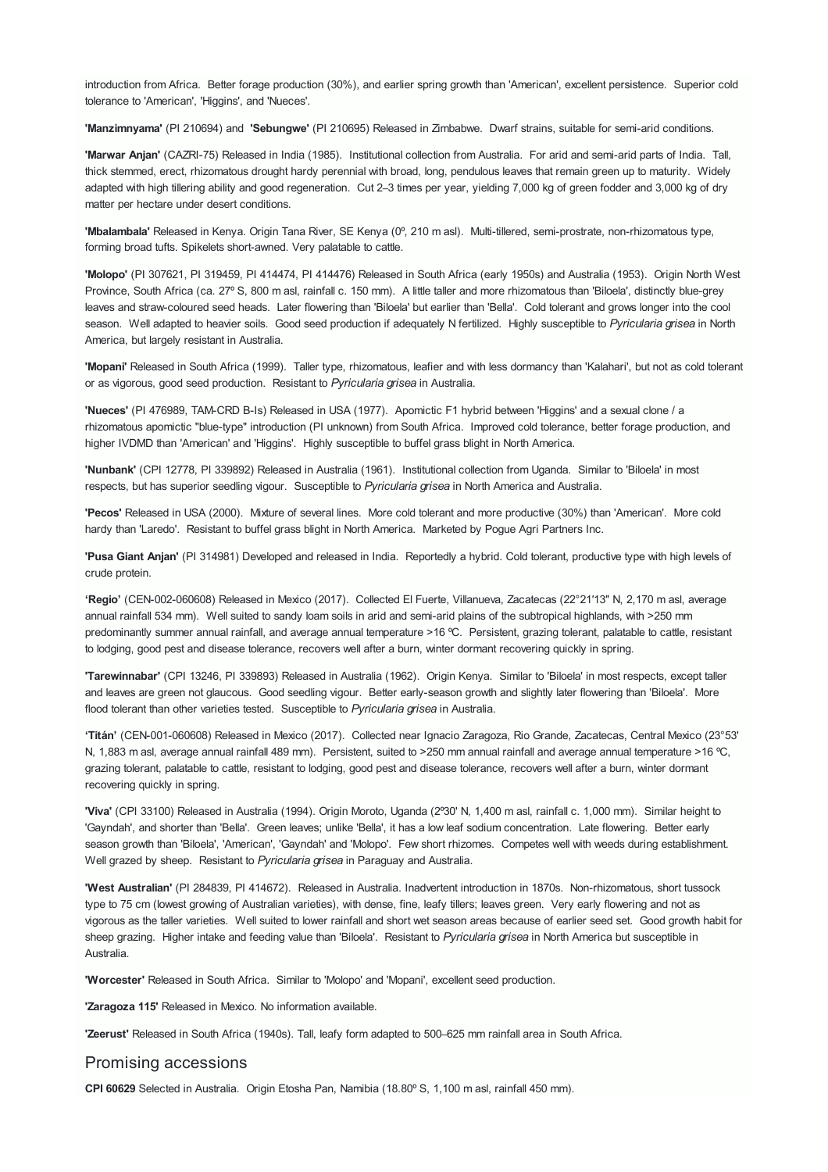introduction from Africa. Better forage production (30%), and earlier spring growth than 'American', excellent persistence. Superior cold tolerance to 'American', 'Higgins', and 'Nueces'.

**'Manzimnyama'** (PI 210694) and **'Sebungwe'** (PI 210695) Released in Zimbabwe. Dwarf strains, suitable for semi-arid conditions.

**'Marwar Anjan'** (CAZRI-75) Released in India (1985). Institutional collection from Australia. For arid and semi-arid parts of India. Tall, thick stemmed, erect, rhizomatous drought hardy perennial with broad, long, pendulous leaves that remain green up to maturity. Widely adapted with high tillering ability and good regeneration. Cut 2-3 times per year, yielding 7,000 kg of green fodder and 3,000 kg of dry matter per hectare under desert conditions.

**'Mbalambala'** Released in Kenya. Origin Tana River, SE Kenya (0º, 210 m asl). Multi-tillered, semi-prostrate, non-rhizomatous type, forming broad tufts. Spikelets short-awned. Very palatable to cattle.

**'Molopo'** (PI 307621, PI 319459, PI 414474, PI 414476) Released in South Africa (early 1950s) and Australia (1953). Origin North West Province, South Africa (ca. 27º S, 800 m asl, rainfall c. 150 mm). A little taller and more rhizomatous than 'Biloela', distinctly blue-grey leaves and straw-coloured seed heads. Later flowering than 'Biloela' but earlier than 'Bella'. Cold tolerant and grows longer into the cool season. Well adapted to heavier soils. Good seed production if adequately N fertilized. Highly susceptible to *Pyricularia grisea* in North America, but largely resistant in Australia.

**'Mopani'** Released in South Africa (1999). Taller type, rhizomatous, leafier and with less dormancy than 'Kalahari', but not as cold tolerant or as vigorous, good seed production. Resistant to *Pyricularia grisea* in Australia.

**'Nueces'** (PI 476989, TAM-CRD B-Is) Released in USA (1977). Apomictic F1 hybrid between 'Higgins' and a sexual clone / a rhizomatous apomictic "blue-type" introduction (PI unknown) from South Africa. Improved cold tolerance, better forage production, and higher IVDMD than 'American' and 'Higgins'. Highly susceptible to buffel grass blight in North America.

**'Nunbank'** (CPI 12778, PI 339892) Released in Australia (1961). Institutional collection from Uganda. Similar to 'Biloela' in most respects, but has superior seedling vigour. Susceptible to *Pyricularia grisea* in North America and Australia.

**'Pecos'** Released in USA (2000). Mixture of several lines. More cold tolerant and more productive (30%) than 'American'. More cold hardy than 'Laredo'. Resistant to buffel grass blight in North America. Marketed by Pogue Agri Partners Inc.

**'Pusa Giant Anjan'** (PI 314981) Developed and released in India. Reportedly a hybrid. Cold tolerant, productive type with high levels of crude protein.

**'Regio'** (CEN-002-060608) Released in Mexico (2017). Collected El Fuerte, Villanueva, Zacatecas (22°21′13″ N, 2,170 m asl, average annual rainfall 534 mm). Well suited to sandy loam soils in arid and semi-arid plains of the subtropical highlands, with >250 mm predominantly summer annual rainfall, and average annual temperature >16 ºC. Persistent, grazing tolerant, palatable to cattle, resistant to lodging, good pest and disease tolerance, recovers well after a burn, winter dormant recovering quickly in spring.

**'Tarewinnabar'** (CPI 13246, PI 339893) Released in Australia (1962). Origin Kenya. Similar to 'Biloela' in most respects, except taller and leaves are green not glaucous. Good seedling vigour. Better early-season growth and slightly later flowering than 'Biloela'. More flood tolerant than other varieties tested. Susceptible to *Pyricularia grisea* in Australia.

**'Titán'** (CEN-001-060608) Released in Mexico (2017). Collected near Ignacio Zaragoza, Rio Grande, Zacatecas, Central Mexico (23°53' N, 1,883 m asl, average annual rainfall 489 mm). Persistent, suited to >250 mm annual rainfall and average annual temperature >16 ºC, grazing tolerant, palatable to cattle, resistant to lodging, good pest and disease tolerance, recovers well after a burn, winter dormant recovering quickly in spring.

**'Viva'** (CPI 33100) Released in Australia (1994). Origin Moroto, Uganda (2º30' N, 1,400 m asl, rainfall c. 1,000 mm). Similar height to 'Gayndah', and shorter than 'Bella'. Green leaves; unlike 'Bella', it has a low leaf sodium concentration. Late flowering. Better early season growth than 'Biloela', 'American', 'Gayndah' and 'Molopo'. Few short rhizomes. Competes well with weeds during establishment. Well grazed by sheep. Resistant to *Pyricularia grisea* in Paraguay and Australia.

**'West Australian'** (PI 284839, PI 414672). Released in Australia. Inadvertent introduction in 1870s. Non-rhizomatous, short tussock type to 75 cm (lowest growing of Australian varieties), with dense, fine, leafy tillers; leaves green. Very early flowering and not as vigorous as the taller varieties. Well suited to lower rainfall and short wet season areas because of earlier seed set. Good growth habit for sheep grazing. Higher intake and feeding value than 'Biloela'. Resistant to *Pyricularia grisea* in North America but susceptible in Australia.

**'Worcester'** Released in South Africa. Similar to 'Molopo' and 'Mopani', excellent seed production.

**'Zaragoza 115'** Released in Mexico. No information available.

**'Zeerust'** Released in South Africa (1940s). Tall, leafy form adapted to 500‒625 mm rainfall area in South Africa.

#### Promising accessions

**CPI 60629** Selected in Australia. Origin Etosha Pan, Namibia (18.80º S, 1,100 m asl, rainfall 450 mm).